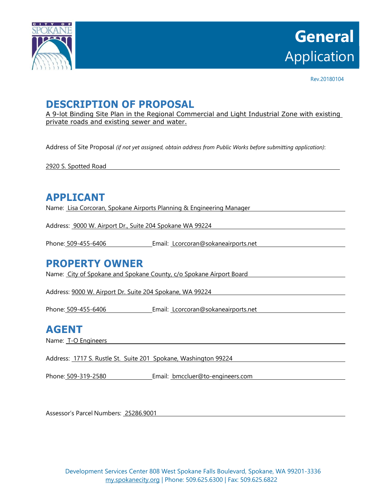

Rev.20180104

## **DESCRIPTION OF PROPOSAL**

A 9-lot Binding Site Plan in the Regional Commercial and Light Industrial Zone with existing private roads and existing sewer and water.

Address of Site Proposal *(if not yet assigned, obtain address from Public Works before submitting application)*:

2920 S. Spotted Road

### **APPLICANT**

Name: Lisa Corcoran, Spokane Airports Planning & Engineering Manager

Address: 9000 W. Airport Dr., Suite 204 Spokane WA 99224

Phone: 509-455-6406 Letter Letter Email: Lcorcoran@sokaneairports.net

#### **PROPERTY OWNER**

Name: City of Spokane and Spokane County, c/o Spokane Airport Board

Address: 9000 W. Airport Dr. Suite 204 Spokane, WA 99224

Phone: 509-455-6406 Email: Lcorcoran@sokaneairports.net

## **AGENT**

Name: T-O Engineers

Address: 1717 S. Rustle St. Suite 201 Spokane, Washington 99224

Phone: 509-319-2580 Email: bmccluer@to-engineers.com

Assessor's Parcel Numbers: 25286.9001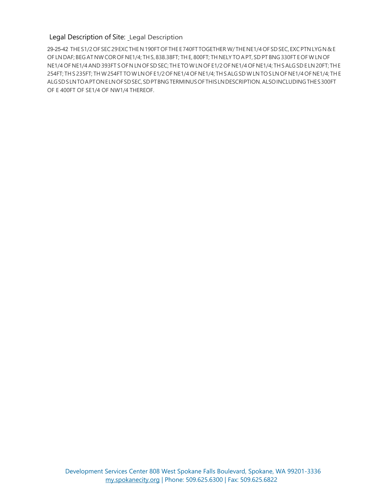#### Legal Description of Site: Legal Description

29-25-42 THE S1/2 OF SEC 29 EXC THE N 190FT OF THE E 740FT TOGETHER W/ THE NE1/4 OF SD SEC, EXC PTN LYG N & E OF LN DAF; BEG AT NW COR OF NE1/4; TH S, 838.38FT; TH E, 800FT; TH NELY TO A PT, SD PT BNG 330FT E OF W LN OF NE1/4 OF NE1/4 AND 393FT S OF N LN OF SD SEC; TH E TO W LN OF E1/2 OF NE1/4 OF NE1/4; TH S ALG SD E LN 20FT; TH E 254FT; TH S 235FT; TH W 254FT TO W LN OF E1/2 OF NE1/4 OF NE1/4; TH S ALG SD W LN TO S LN OF NE1/4 OF NE1/4; TH E ALG SD S LN TO A PT ON E LN OF SD SEC, SD PT BNG TERMINUS OF THIS LN DESCRIPTION. ALSO INCLUDING THE S 300FT OF E 400FT OF SE1/4 OF NW1/4 THEREOF.